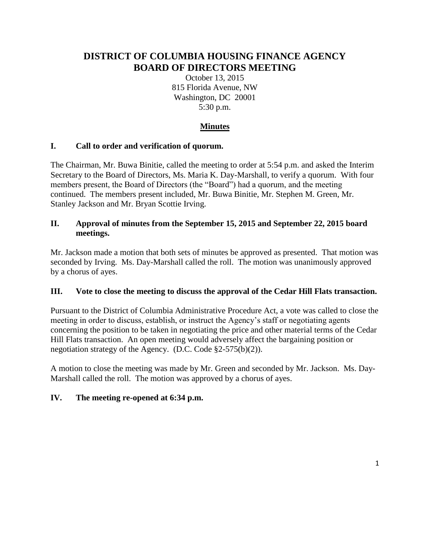# **DISTRICT OF COLUMBIA HOUSING FINANCE AGENCY BOARD OF DIRECTORS MEETING**

October 13, 2015 815 Florida Avenue, NW Washington, DC 20001 5:30 p.m.

## **Minutes**

## **I. Call to order and verification of quorum.**

The Chairman, Mr. Buwa Binitie, called the meeting to order at 5:54 p.m. and asked the Interim Secretary to the Board of Directors, Ms. Maria K. Day-Marshall, to verify a quorum. With four members present, the Board of Directors (the "Board") had a quorum, and the meeting continued. The members present included, Mr. Buwa Binitie, Mr. Stephen M. Green, Mr. Stanley Jackson and Mr. Bryan Scottie Irving.

## **II. Approval of minutes from the September 15, 2015 and September 22, 2015 board meetings.**

Mr. Jackson made a motion that both sets of minutes be approved as presented. That motion was seconded by Irving. Ms. Day-Marshall called the roll. The motion was unanimously approved by a chorus of ayes.

## **III. Vote to close the meeting to discuss the approval of the Cedar Hill Flats transaction.**

Pursuant to the District of Columbia Administrative Procedure Act, a vote was called to close the meeting in order to discuss, establish, or instruct the Agency's staff or negotiating agents concerning the position to be taken in negotiating the price and other material terms of the Cedar Hill Flats transaction. An open meeting would adversely affect the bargaining position or negotiation strategy of the Agency. (D.C. Code §2-575(b)(2)).

A motion to close the meeting was made by Mr. Green and seconded by Mr. Jackson. Ms. Day-Marshall called the roll. The motion was approved by a chorus of ayes.

## **IV. The meeting re-opened at 6:34 p.m.**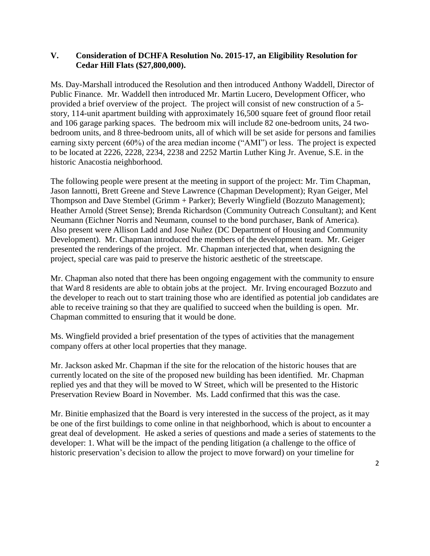#### **V. Consideration of DCHFA Resolution No. 2015-17, an Eligibility Resolution for Cedar Hill Flats (\$27,800,000).**

Ms. Day-Marshall introduced the Resolution and then introduced Anthony Waddell, Director of Public Finance. Mr. Waddell then introduced Mr. Martin Lucero, Development Officer, who provided a brief overview of the project. The project will consist of new construction of a 5 story, 114-unit apartment building with approximately 16,500 square feet of ground floor retail and 106 garage parking spaces. The bedroom mix will include 82 one-bedroom units, 24 twobedroom units, and 8 three-bedroom units, all of which will be set aside for persons and families earning sixty percent (60%) of the area median income ("AMI") or less. The project is expected to be located at 2226, 2228, 2234, 2238 and 2252 Martin Luther King Jr. Avenue, S.E. in the historic Anacostia neighborhood.

The following people were present at the meeting in support of the project: Mr. Tim Chapman, Jason Iannotti, Brett Greene and Steve Lawrence (Chapman Development); Ryan Geiger, Mel Thompson and Dave Stembel (Grimm + Parker); Beverly Wingfield (Bozzuto Management); Heather Arnold (Street Sense); Brenda Richardson (Community Outreach Consultant); and Kent Neumann (Eichner Norris and Neumann, counsel to the bond purchaser, Bank of America). Also present were Allison Ladd and Jose Nuñez (DC Department of Housing and Community Development). Mr. Chapman introduced the members of the development team. Mr. Geiger presented the renderings of the project. Mr. Chapman interjected that, when designing the project, special care was paid to preserve the historic aesthetic of the streetscape.

Mr. Chapman also noted that there has been ongoing engagement with the community to ensure that Ward 8 residents are able to obtain jobs at the project. Mr. Irving encouraged Bozzuto and the developer to reach out to start training those who are identified as potential job candidates are able to receive training so that they are qualified to succeed when the building is open. Mr. Chapman committed to ensuring that it would be done.

Ms. Wingfield provided a brief presentation of the types of activities that the management company offers at other local properties that they manage.

Mr. Jackson asked Mr. Chapman if the site for the relocation of the historic houses that are currently located on the site of the proposed new building has been identified. Mr. Chapman replied yes and that they will be moved to W Street, which will be presented to the Historic Preservation Review Board in November. Ms. Ladd confirmed that this was the case.

Mr. Binitie emphasized that the Board is very interested in the success of the project, as it may be one of the first buildings to come online in that neighborhood, which is about to encounter a great deal of development. He asked a series of questions and made a series of statements to the developer: 1. What will be the impact of the pending litigation (a challenge to the office of historic preservation's decision to allow the project to move forward) on your timeline for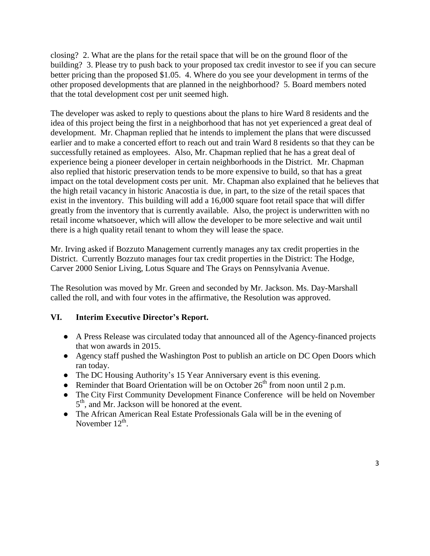closing? 2. What are the plans for the retail space that will be on the ground floor of the building? 3. Please try to push back to your proposed tax credit investor to see if you can secure better pricing than the proposed \$1.05. 4. Where do you see your development in terms of the other proposed developments that are planned in the neighborhood? 5. Board members noted that the total development cost per unit seemed high.

The developer was asked to reply to questions about the plans to hire Ward 8 residents and the idea of this project being the first in a neighborhood that has not yet experienced a great deal of development. Mr. Chapman replied that he intends to implement the plans that were discussed earlier and to make a concerted effort to reach out and train Ward 8 residents so that they can be successfully retained as employees. Also, Mr. Chapman replied that he has a great deal of experience being a pioneer developer in certain neighborhoods in the District. Mr. Chapman also replied that historic preservation tends to be more expensive to build, so that has a great impact on the total development costs per unit. Mr. Chapman also explained that he believes that the high retail vacancy in historic Anacostia is due, in part, to the size of the retail spaces that exist in the inventory. This building will add a 16,000 square foot retail space that will differ greatly from the inventory that is currently available. Also, the project is underwritten with no retail income whatsoever, which will allow the developer to be more selective and wait until there is a high quality retail tenant to whom they will lease the space.

Mr. Irving asked if Bozzuto Management currently manages any tax credit properties in the District. Currently Bozzuto manages four tax credit properties in the District: The Hodge, Carver 2000 Senior Living, Lotus Square and The Grays on Pennsylvania Avenue.

The Resolution was moved by Mr. Green and seconded by Mr. Jackson. Ms. Day-Marshall called the roll, and with four votes in the affirmative, the Resolution was approved.

## **VI. Interim Executive Director's Report.**

- A Press Release was circulated today that announced all of the Agency-financed projects that won awards in 2015.
- Agency staff pushed the Washington Post to publish an article on DC Open Doors which ran today.
- The DC Housing Authority's 15 Year Anniversary event is this evening.
- Reminder that Board Orientation will be on October  $26<sup>th</sup>$  from noon until 2 p.m.
- The City First Community Development Finance Conference will be held on November 5<sup>th</sup>, and Mr. Jackson will be honored at the event.
- The African American Real Estate Professionals Gala will be in the evening of November  $12^{th}$ .